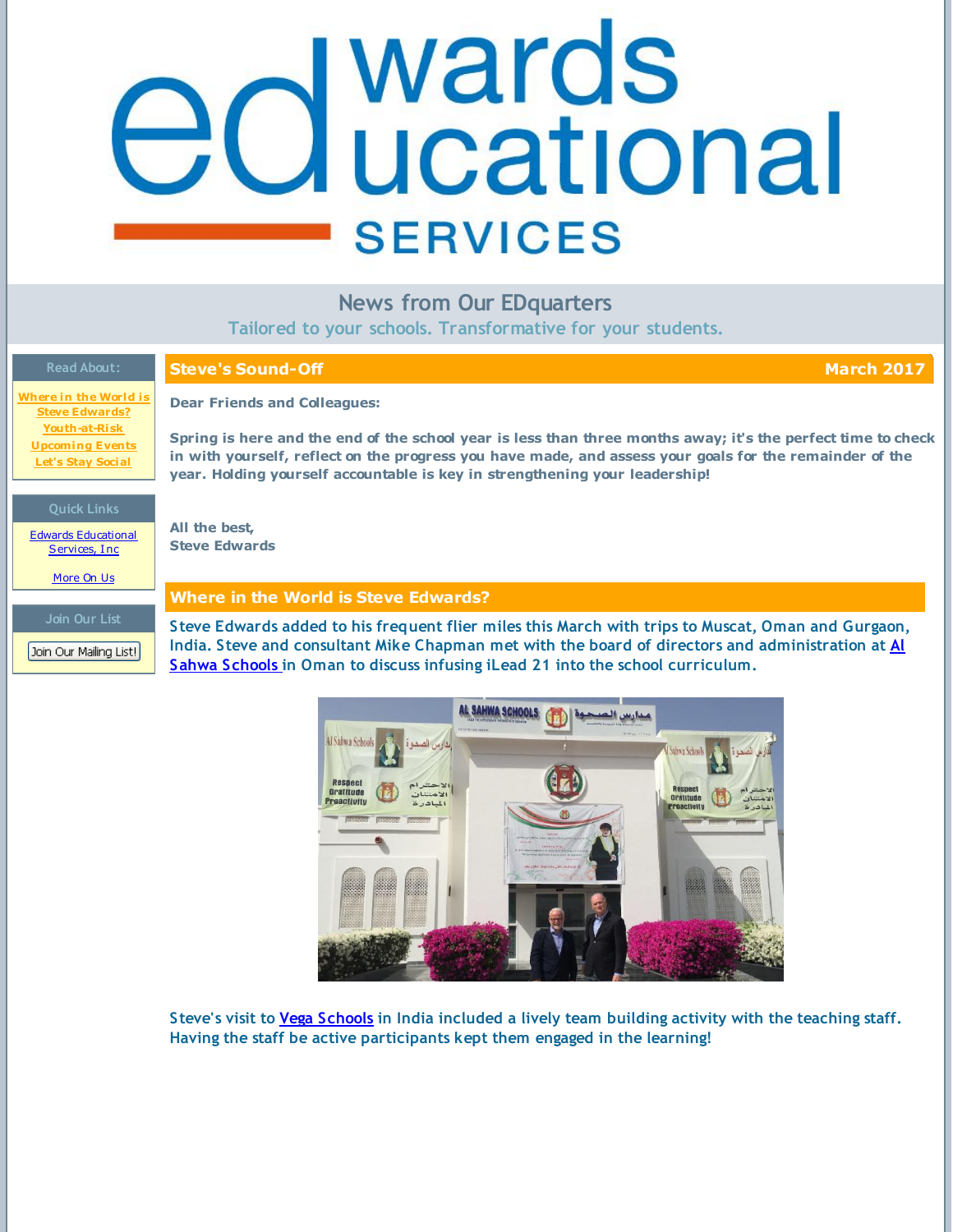# <span id="page-0-0"></span>**d** wards<br>**d** ucational e **SERVICES**

| <b>News from Our EDquarters</b><br>Tailored to your schools. Transformative for your students. |                                                                                                                                                                                                                                                                                                        |
|------------------------------------------------------------------------------------------------|--------------------------------------------------------------------------------------------------------------------------------------------------------------------------------------------------------------------------------------------------------------------------------------------------------|
| <b>Read About:</b>                                                                             | <b>Steve's Sound-Off</b><br><b>March 2017</b>                                                                                                                                                                                                                                                          |
| Where in the World is<br><b>Steve Edwards?</b>                                                 | <b>Dear Friends and Colleagues:</b>                                                                                                                                                                                                                                                                    |
| Youth-at-Risk<br><b>Upcoming Events</b><br><b>Let's Stay Social</b>                            | Spring is here and the end of the school year is less than three months away; it's the perfect time to check<br>in with yourself, reflect on the progress you have made, and assess your goals for the remainder of the<br>year. Holding yourself accountable is key in strengthening your leadership! |
| <b>Quick Links</b><br><b>Edwards Educational</b><br>Services, Inc.<br>More On Us               | All the best,<br><b>Steve Edwards</b>                                                                                                                                                                                                                                                                  |
|                                                                                                | <b>Where in the World is Steve Edwards?</b>                                                                                                                                                                                                                                                            |
| Join Our List<br>Join Our Mailing List!                                                        | Steve Edwards added to his frequent flier miles this March with trips to Muscat, Oman and Gurgaon,<br>India. Steve and consultant Mike Chapman met with the board of directors and administration at Al<br>Sahwa Schools in Oman to discuss infusing iLead 21 into the school curriculum.              |



**Steve's visit to Vega [Schools](http://www.vega.edu.in/) in India included a lively team building activity with the teaching staff. Having the staff be active participants kept them engaged in the learning!**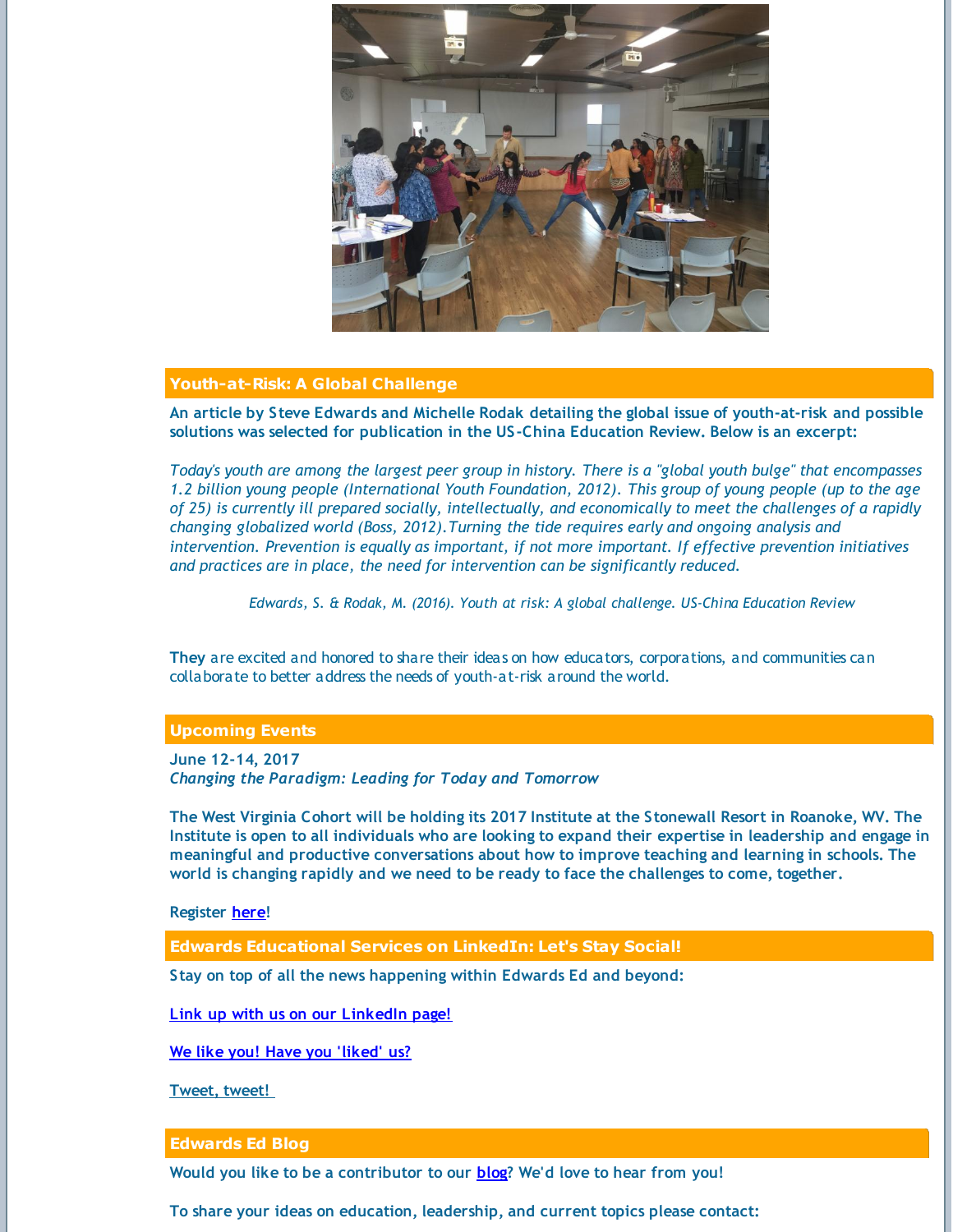

## **Youth-at-Risk: A Global Challenge**

**An article by Steve Edwards and Michelle Rodak detailing the global issue of youth-at-risk and possible solutions was selected for publication in the US-China Education Review. Below is an excerpt:**

Today's youth are among the largest peer group in history. There is a "global youth bulge" that encompasses 1.2 billion young people (International Youth Foundation, 2012). This group of young people (up to the age of 25) is currently ill prepared socially, intellectually, and economically to meet the challenges of a rapidly *changing globalized world (Boss, 2012).Turning the tide requires early and ongoing analysis and intervention. Prevention is equally as important, if not more important. If effective prevention initiatives and practices are in place, the need for intervention can be significantly reduced.*

*Edwards, S. & Rodak, M. (2016). Youth at risk: A global challenge. US-China Education Review*

**They** are excited and honored to share their ideas on how educators, corporations, and communities can collaborate to better address the needs of youth-at-risk around the world.

# **Upcoming Events**

**June 12-14, 2017** *Changing the Paradigm: Leading for Today and Tomorrow*

The West Virginia Cohort will be holding its 2017 Institute at the Stonewall Resort in Roanoke, WV. The Institute is open to all individuals who are looking to expand their expertise in leadership and engage in **meaningful and productive conversations about how to improve teaching and learning in schools. The world is changing rapidly and we need to be ready to face the challenges to come, together.**

### **Register [here](https://media.wix.com/ugd/5afa51_db18e4d0d638416798d8f57d2fdf0915.pdf)!**

**Edwards Educational Services on LinkedIn: Let's Stay Social!**

**Stay on top of all the news happening within Edwards Ed and beyond:**

**Link up with us on our [LinkedIn](http://www.linkedin.com/company/3213556?trk=NUS_DIG_CMPY-fol) page!**

**We like you! Have you ['liked'](https://www.facebook.com/edwardsEDservices) us?**

**[Tweet,](http://twitter.com/#!/EDwardsEDserv) tweet!**

### **Edwards Ed Blog**

**Would you like to be a contributor to our [blog](http://www.edwardsedservices.com/blog/)? We'd love to hear from you!**

**To share your ideas on education, leadership, and current topics please contact:**